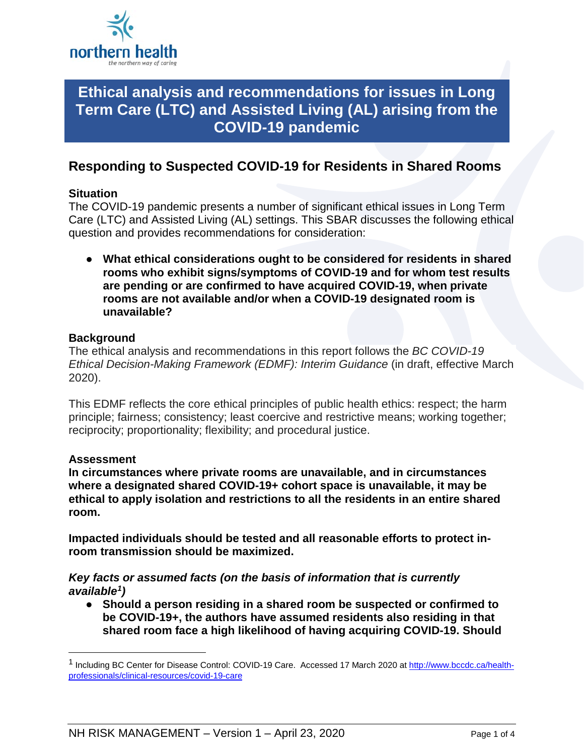

# **Ethical analysis and recommendations for issues in Long Term Care (LTC) and Assisted Living (AL) arising from the COVID-19 pandemic**

# **Responding to Suspected COVID-19 for Residents in Shared Rooms**

# **Situation**

The COVID-19 pandemic presents a number of significant ethical issues in Long Term Care (LTC) and Assisted Living (AL) settings. This SBAR discusses the following ethical question and provides recommendations for consideration:

● **What ethical considerations ought to be considered for residents in shared rooms who exhibit signs/symptoms of COVID-19 and for whom test results are pending or are confirmed to have acquired COVID-19, when private rooms are not available and/or when a COVID-19 designated room is unavailable?** 

# **Background**

The ethical analysis and recommendations in this report follows the *BC COVID-19 Ethical Decision-Making Framework (EDMF): Interim Guidance* (in draft, effective March 2020).

This EDMF reflects the core ethical principles of public health ethics: respect; the harm principle; fairness; consistency; least coercive and restrictive means; working together; reciprocity; proportionality; flexibility; and procedural justice.

# **Assessment**

**In circumstances where private rooms are unavailable, and in circumstances where a designated shared COVID-19+ cohort space is unavailable, it may be ethical to apply isolation and restrictions to all the residents in an entire shared room.** 

**Impacted individuals should be tested and all reasonable efforts to protect inroom transmission should be maximized.** 

#### *Key facts or assumed facts (on the basis of information that is currently available[1\)](#page-0-0)*

● **Should a person residing in a shared room be suspected or confirmed to be COVID-19+, the authors have assumed residents also residing in that shared room face a high likelihood of having acquiring COVID-19. Should** 

<span id="page-0-0"></span><sup>&</sup>lt;sup>1</sup> Including BC Center for Disease Control: COVID-19 Care. Accessed 17 March 2020 at [http://www.bccdc.ca/health](http://www.bccdc.ca/health-professionals/clinical-resources/covid-19-care)[professionals/clinical-resources/covid-19-care](http://www.bccdc.ca/health-professionals/clinical-resources/covid-19-care)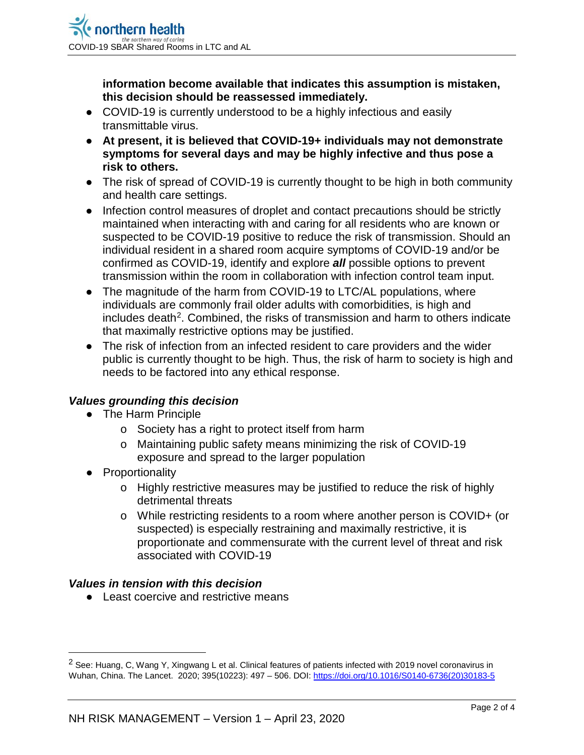**information become available that indicates this assumption is mistaken, this decision should be reassessed immediately.** 

- COVID-19 is currently understood to be a highly infectious and easily transmittable virus.
- **At present, it is believed that COVID-19+ individuals may not demonstrate symptoms for several days and may be highly infective and thus pose a risk to others.**
- The risk of spread of COVID-19 is currently thought to be high in both community and health care settings.
- Infection control measures of droplet and contact precautions should be strictly maintained when interacting with and caring for all residents who are known or suspected to be COVID-19 positive to reduce the risk of transmission. Should an individual resident in a shared room acquire symptoms of COVID-19 and/or be confirmed as COVID-19, identify and explore *all* possible options to prevent transmission within the room in collaboration with infection control team input.
- The magnitude of the harm from COVID-19 to LTC/AL populations, where individuals are commonly frail older adults with comorbidities, is high and includes death<sup>2</sup>. Combined, the risks of transmission and harm to others indicate that maximally restrictive options may be justified.
- The risk of infection from an infected resident to care providers and the wider public is currently thought to be high. Thus, the risk of harm to society is high and needs to be factored into any ethical response.

# *Values grounding this decision*

- The Harm Principle
	- o Society has a right to protect itself from harm
	- o Maintaining public safety means minimizing the risk of COVID-19 exposure and spread to the larger population
- Proportionality
	- o Highly restrictive measures may be justified to reduce the risk of highly detrimental threats
	- o While restricting residents to a room where another person is COVID+ (or suspected) is especially restraining and maximally restrictive, it is proportionate and commensurate with the current level of threat and risk associated with COVID-19

# *Values in tension with this decision*

● Least coercive and restrictive means

<span id="page-1-0"></span><sup>&</sup>lt;sup>2</sup> See: Huang, C, Wang Y, Xingwang L et al. Clinical features of patients infected with 2019 novel coronavirus in Wuhan, China. The Lancet. 2020; 395(10223): 497 - 506. DOI[: https://doi.org/10.1016/S0140-6736\(20\)30183-5](https://doi.org/10.1016/S0140-6736(20)30183-5)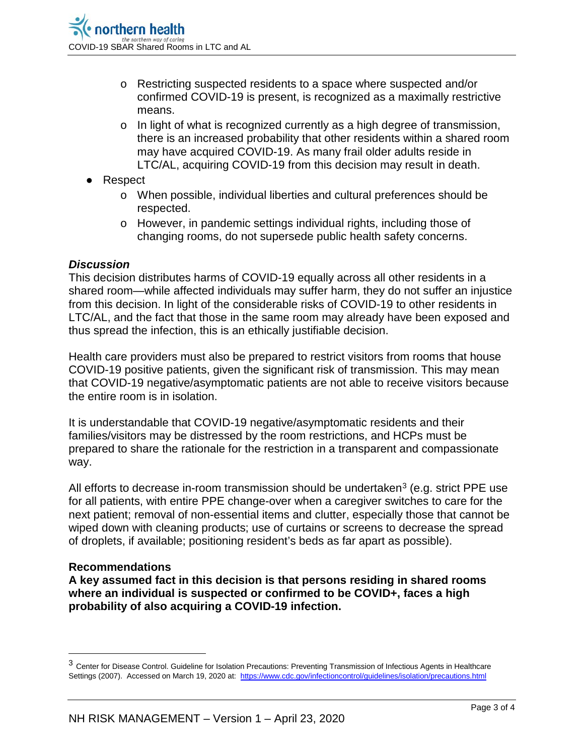- o Restricting suspected residents to a space where suspected and/or confirmed COVID-19 is present, is recognized as a maximally restrictive means.
- o In light of what is recognized currently as a high degree of transmission, there is an increased probability that other residents within a shared room may have acquired COVID-19. As many frail older adults reside in LTC/AL, acquiring COVID-19 from this decision may result in death.
- Respect
	- o When possible, individual liberties and cultural preferences should be respected.
	- o However, in pandemic settings individual rights, including those of changing rooms, do not supersede public health safety concerns.

#### *Discussion*

This decision distributes harms of COVID-19 equally across all other residents in a shared room—while affected individuals may suffer harm, they do not suffer an injustice from this decision. In light of the considerable risks of COVID-19 to other residents in LTC/AL, and the fact that those in the same room may already have been exposed and thus spread the infection, this is an ethically justifiable decision.

Health care providers must also be prepared to restrict visitors from rooms that house COVID-19 positive patients, given the significant risk of transmission. This may mean that COVID-19 negative/asymptomatic patients are not able to receive visitors because the entire room is in isolation.

It is understandable that COVID-19 negative/asymptomatic residents and their families/visitors may be distressed by the room restrictions, and HCPs must be prepared to share the rationale for the restriction in a transparent and compassionate way.

All efforts to decrease in-room transmission should be undertaken<sup>[3](#page-2-0)</sup> (e.g. strict PPE use for all patients, with entire PPE change-over when a caregiver switches to care for the next patient; removal of non-essential items and clutter, especially those that cannot be wiped down with cleaning products; use of curtains or screens to decrease the spread of droplets, if available; positioning resident's beds as far apart as possible).

#### **Recommendations**

**A key assumed fact in this decision is that persons residing in shared rooms where an individual is suspected or confirmed to be COVID+, faces a high probability of also acquiring a COVID-19 infection.** 

<span id="page-2-0"></span> <sup>3</sup> Center for Disease Control. Guideline for Isolation Precautions: Preventing Transmission of Infectious Agents in Healthcare Settings (2007). Accessed on March 19, 2020 at:<https://www.cdc.gov/infectioncontrol/guidelines/isolation/precautions.html>